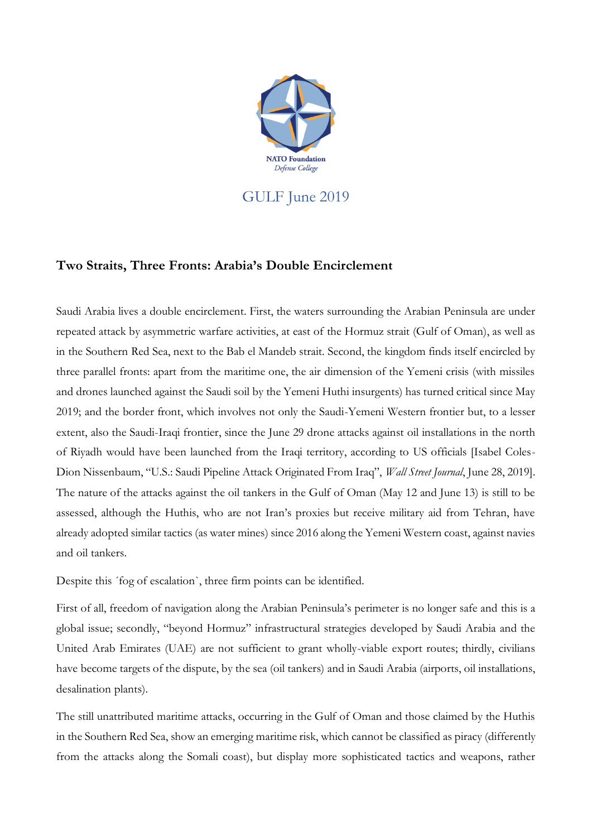

## **Two Straits, Three Fronts: Arabia's Double Encirclement**

Saudi Arabia lives a double encirclement. First, the waters surrounding the Arabian Peninsula are under repeated attack by asymmetric warfare activities, at east of the Hormuz strait (Gulf of Oman), as well as in the Southern Red Sea, next to the Bab el Mandeb strait. Second, the kingdom finds itself encircled by three parallel fronts: apart from the maritime one, the air dimension of the Yemeni crisis (with missiles and drones launched against the Saudi soil by the Yemeni Huthi insurgents) has turned critical since May 2019; and the border front, which involves not only the Saudi-Yemeni Western frontier but, to a lesser extent, also the Saudi-Iraqi frontier, since the June 29 drone attacks against oil installations in the north of Riyadh would have been launched from the Iraqi territory, according to US officials [Isabel Coles-Dion Nissenbaum, "U.S.: Saudi Pipeline Attack Originated From Iraq", *Wall Street Journal*, June 28, 2019]. The nature of the attacks against the oil tankers in the Gulf of Oman (May 12 and June 13) is still to be assessed, although the Huthis, who are not Iran's proxies but receive military aid from Tehran, have already adopted similar tactics (as water mines) since 2016 along the Yemeni Western coast, against navies and oil tankers.

Despite this ´fog of escalation`, three firm points can be identified.

First of all, freedom of navigation along the Arabian Peninsula's perimeter is no longer safe and this is a global issue; secondly, "beyond Hormuz" infrastructural strategies developed by Saudi Arabia and the United Arab Emirates (UAE) are not sufficient to grant wholly-viable export routes; thirdly, civilians have become targets of the dispute, by the sea (oil tankers) and in Saudi Arabia (airports, oil installations, desalination plants).

The still unattributed maritime attacks, occurring in the Gulf of Oman and those claimed by the Huthis in the Southern Red Sea, show an emerging maritime risk, which cannot be classified as piracy (differently from the attacks along the Somali coast), but display more sophisticated tactics and weapons, rather